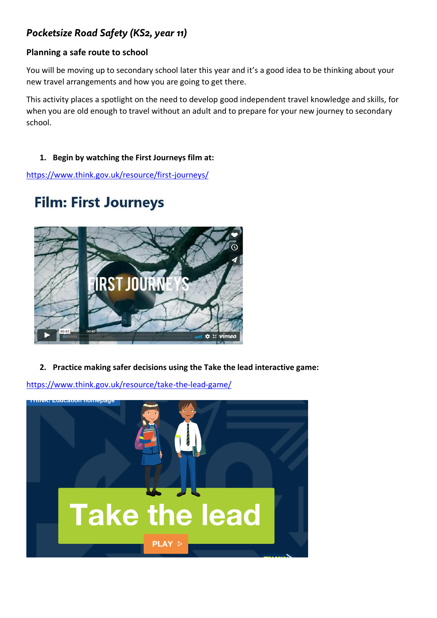## *Pocketsize Road Safety (KS2, year 11)*

## **Planning a safe route to school**

You will be moving up to secondary school later this year and it's a good idea to be thinking about your new travel arrangements and how you are going to get there.

This activity places a spotlight on the need to develop good independent travel knowledge and skills, for when you are old enough to travel without an adult and to prepare for your new journey to secondary school.

## **1. Begin by watching the First Journeys film at:**

<https://www.think.gov.uk/resource/first-journeys/>

## **Film: First Journeys**



**2. Practice making safer decisions using the Take the lead interactive game:**

<https://www.think.gov.uk/resource/take-the-lead-game/>